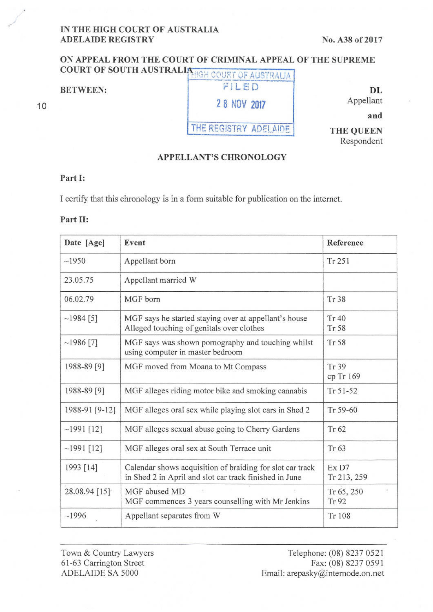### **IN THE HIGH COURT OF AUSTRALIA ADELAIDE REGISTRY** No. A38 of 2017

# **ON APPEAL FROM THE COURT OF CRIMINAL APPEAL OF THE SUPREME**  COURT OF SOUTH AUSTRALIA HIGH COURT OF AUSTRALIA

10

**BETWEEN: FILED 2 8 NOV 2017** 

THE REGISTRY ADELAIDE

Appellant

**and** 

**DL** 

**THE QUEEN**  Respondent

## **APPELLANT'S CHRONOLOGY**

#### **Part I:**

I certifY that this chronology is in a form suitable for publication on the intemet.

#### Part II:

| Date [Age]     | Event                                                                                                               | Reference            |
|----------------|---------------------------------------------------------------------------------------------------------------------|----------------------|
| ~1950          | Appellant born                                                                                                      | Tr 251               |
| 23.05.75       | Appellant married W                                                                                                 |                      |
| 06.02.79       | MGF born                                                                                                            | Tr 38                |
| $~1984$ [5]    | MGF says he started staying over at appellant's house<br>Alleged touching of genitals over clothes                  | Tr 40<br>Tr 58       |
| $~1986$ [7]    | MGF says was shown pornography and touching whilst<br>using computer in master bedroom                              | Tr 58                |
| 1988-89 [9]    | MGF moved from Moana to Mt Compass                                                                                  | Tr 39<br>cp Tr 169   |
| 1988-89 [9]    | MGF alleges riding motor bike and smoking cannabis                                                                  | $Tr 51-52$           |
| 1988-91 [9-12] | MGF alleges oral sex while playing slot cars in Shed 2                                                              | Tr 59-60             |
| $~1991$ [12]   | MGF alleges sexual abuse going to Cherry Gardens                                                                    | Tr 62                |
| $~1991$ [12]   | MGF alleges oral sex at South Terrace unit                                                                          | Tr 63                |
| 1993 [14]      | Calendar shows acquisition of braiding for slot car track<br>in Shed 2 in April and slot car track finished in June | Ex D7<br>Tr 213, 259 |
| 28.08.94 [15]  | MGF abused MD<br>MGF commences 3 years counselling with Mr Jenkins                                                  | Tr 65, 250<br>Tr 92  |
| ~1996          | Appellant separates from W                                                                                          | Tr 108               |

Town & Country Lawyers 61 -63 Carrington Street ADELAIDE SA 5000

Telephone: (08) 8237 0521 Fax: (08) 8237 0591 Email: arepasky@intemode.on.net